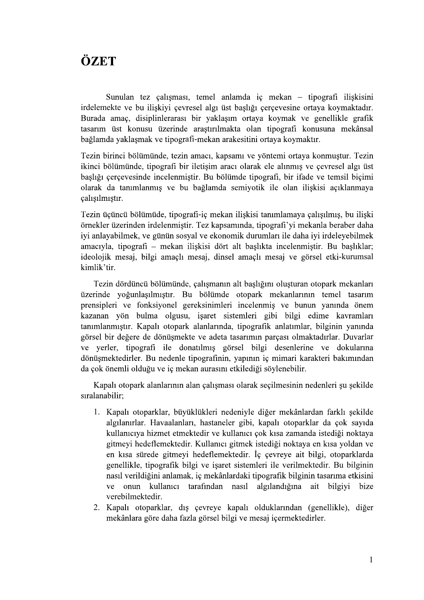## ÖZET

Sunulan tez çalışması, temel anlamda iç mekan – tipografi ilişkisini irdelemekte ve bu ilişkiyi çevresel algı üst başlığı çerçevesine ortaya koymaktadır. Burada amaç, disiplinlerarası bir yaklaşım ortaya koymak ve genellikle grafik tasarım üst konusu üzerinde arastırılmakta olan tipografi konusuna mekânsal bağlamda yaklaşmak ve tipografi-mekan arakesitini ortaya koymaktır.

Tezin birinci bölümünde, tezin amacı, kapsamı ve yöntemi ortaya konmuştur. Tezin ikinci bölümünde, tipografi bir iletişim aracı olarak ele alınmış ve çevresel algı üst baslığı çerçevesinde incelenmiştir. Bu bölümde tipografi, bir ifade ve temsil biçimi olarak da tanımlanmış ve bu bağlamda semiyotik ile olan ilişkisi açıklanmaya calisilmistir.

Tezin üçüncü bölümüde, tipografi-iç mekan ilişkisi tanımlamaya çalışılmış, bu ilişki örnekler üzerinden irdelenmiştir. Tez kapsamında, tipografi'yi mekanla beraber daha iyi anlayabilmek, ve günün sosyal ve ekonomik durumları ile daha iyi irdeleyebilmek amacıyla, tipografi – mekan ilişkisi dört alt başlıkta incelenmiştir. Bu başlıklar; ideolojik mesaj, bilgi amaclı mesaj, dinsel amaclı mesaj ve görsel etki-kurumsal kimlik'tir.

Tezin dördüncü bölümünde, çalışmanın alt başlığını oluşturan otopark mekanları üzerinde yoğunlaşılmıştır. Bu bölümde otopark mekanlarının temel tasarım prensipleri ve fonksiyonel gereksinimleri incelenmiş ve bunun yanında önem kazanan yön bulma olgusu, işaret sistemleri gibi bilgi edime kavramları tanımlanmıştır. Kapalı otopark alanlarında, tipografik anlatımlar, bilginin yanında görsel bir değere de dönüşmekte ve adeta tasarımın parçası olmaktadırlar. Duvarlar ve verler, tipografi ile donatılmış görsel bilgi desenlerine ve dokularına dönüşmektedirler. Bu nedenle tipografinin, yapının iç mimari karakteri bakımından da çok önemli olduğu ve iç mekan aurasını etkilediği söylenebilir.

Kapalı otopark alanlarının alan çalışması olarak seçilmesinin nedenleri şu şekilde sıralanabilir:

- 1. Kapalı otoparklar, büyüklükleri nedeniyle diğer mekânlardan farklı sekilde algılanırlar. Havaalanları, hastaneler gibi, kapalı otoparklar da çok sayıda kullanıcıya hizmet etmektedir ve kullanıcı çok kısa zamanda istediği noktaya gitmeyi hedeflemektedir. Kullanıcı gitmek istediği noktaya en kısa yoldan ve en kısa sürede gitmeyi hedeflemektedir. İç çevreye ait bilgi, otoparklarda genellikle, tipografik bilgi ve isaret sistemleri ile verilmektedir. Bu bilginin nasıl verildiğini anlamak, iç mekânlardaki tipografik bilginin tasarıma etkisini ve onun kullanıcı tarafından nasıl algılandığına ait bilgiyi bize verebilmektedir.
- 2. Kapalı otoparklar, dış çevreye kapalı olduklarından (genellikle), diğer mekânlara göre daha fazla görsel bilgi ve mesaj içermektedirler.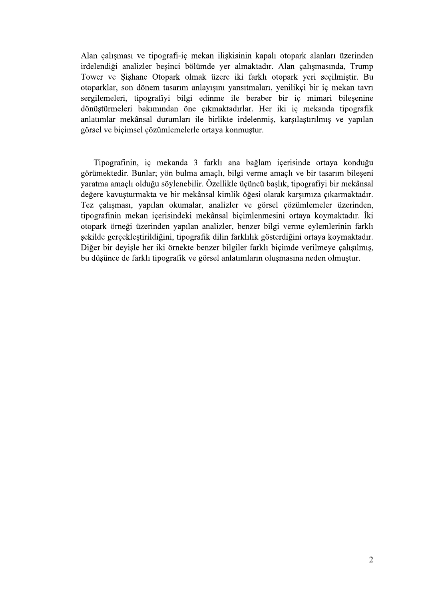Alan çalışması ve tipografi-iç mekan ilişkisinin kapalı otopark alanları üzerinden irdelendiği analizler beşinci bölümde yer almaktadır. Alan çalışmasında, Trump Tower ve Sishane Otopark olmak üzere iki farklı otopark yeri seçilmiştir. Bu otoparklar, son dönem tasarım anlayısını yansıtmaları, yenilikçi bir iç mekan tavrı sergilemeleri, tipografiyi bilgi edinme ile beraber bir iç mimari bilesenine dönüştürmeleri bakımından öne çıkmaktadırlar. Her iki iç mekanda tipografik anlatımlar mekânsal durumları ile birlikte irdelenmiş, karşılaştırılmış ve yapılan görsel ve biçimsel çözümlemelerle ortaya konmustur.

Tipografinin, iç mekanda 3 farklı ana bağlam içerisinde ortaya konduğu görümektedir. Bunlar; yön bulma amaçlı, bilgi verme amaçlı ve bir tasarım bileşeni varatma amaçlı olduğu söylenebilir. Özellikle üçüncü başlık, tipografiyi bir mekânsal değere kavusturmakta ve bir mekânsal kimlik öğesi olarak karsımıza çıkarmaktadır. Tez çalışması, yapılan okumalar, analizler ve görsel çözümlemeler üzerinden, tipografinin mekan içerisindeki mekânsal biçimlenmesini ortaya koymaktadır. İki otopark örneği üzerinden yapılan analizler, benzer bilgi verme eylemlerinin farklı şekilde gerçekleştirildiğini, tipografik dilin farklılık gösterdiğini ortaya koymaktadır. Diğer bir devisle her iki örnekte benzer bilgiler farklı bicimde verilmeve calısılmıs, bu düsünce de farklı tipografik ve görsel anlatımların olusmasına neden olmustur.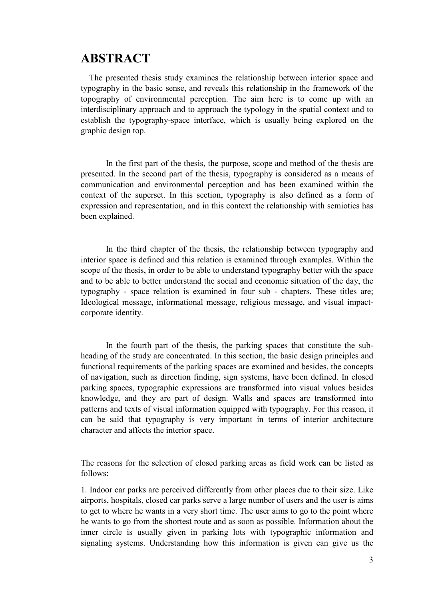## **ABSTRACT**

The presented thesis study examines the relationship between interior space and typography in the basic sense, and reveals this relationship in the framework of the topography of environmental perception. The aim here is to come up with an **ABSTRACT**<br>The presented thesis study examines the relationship between interior space and<br>typography in the basic sense, and reveals this relationship in the framework of the<br>topography of environmental perception. The ai establish the typography-space interface, which is usually being explored on the graphic design top.

In the first part of the thesis, the purpose, scope and method of the thesis are **ABSTRACT**<br>The presented thesis study examines the relationship between interior space and<br>typography in the basic sense, and reveals this relationship in the framework of the<br>topography in the basic sense, and reveals thi communication and environmental perception and has been examined within the context of the superset. In this section, typography is also defined as a form of expression and representation, and in this context the relationship with semiotics has been explained.

In the third chapter of the thesis, the relationship between typography and interior space is defined and this relation is examined through examples. Within the scope of the thesis, in order to be able to understand typography better with the space and to be able to better understand the social and economic situation of the day, the interdisciplinary approach and to approach the typology in the spatial context and to establish the typography-space interface, which is usually being explored on the graphic design top.<br>
In the first part of the thesis, t Ideological message, informational message, religious message, and visual impactcorporate identity.

In the fourth part of the thesis, the parking spaces that constitute the subheading of the study are concentrated. In this section, the basic design principles and functional requirements of the parking spaces are examined and besides, the concepts of navigation, such as direction finding, sign systems, have been defined. In closed parking spaces, typographic expressions are transformed into visual values besides been explained.<br>
In the third chapter of the thesis, the relationship between typography and<br>
interior space is defined and this relation is examined through examples. Within the<br>
scope of the thesis, in order to be able t patterns and texts of visual information equipped with typography. For this reason, it can be said that typography is very important in terms of interior architecture In the third chapter of the thesis, the relationship between typography and<br>interior space is defined and this relation is examined through examples. Within the<br>scope of the thesis, in order to be able to understand typogr

The reasons for the selection of closed parking areas as field work can be listed as follows:

1. Indoor car parks are perceived differently from other places due to their size. Like airports, hospitals, closed car parks serve a large number of users and the user is aims to get to where he wants in a very short time. The user aims to go to the point where he wants to go from the shortest route and as soon as possible. Information about the inner circle is usually given in parking lots with typographic information and signaling systems. Understanding how this information is given can give us the